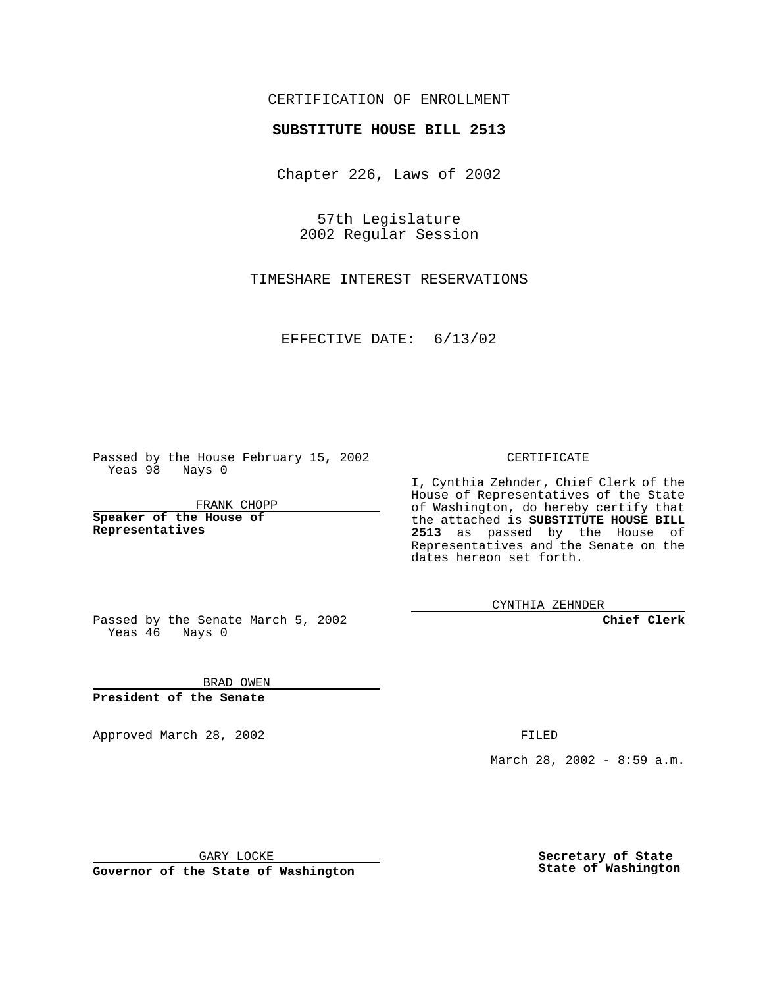## CERTIFICATION OF ENROLLMENT

## **SUBSTITUTE HOUSE BILL 2513**

Chapter 226, Laws of 2002

57th Legislature 2002 Regular Session

TIMESHARE INTEREST RESERVATIONS

EFFECTIVE DATE: 6/13/02

Passed by the House February 15, 2002 Yeas 98 Nays 0

FRANK CHOPP

**Speaker of the House of Representatives**

CERTIFICATE

I, Cynthia Zehnder, Chief Clerk of the House of Representatives of the State of Washington, do hereby certify that the attached is **SUBSTITUTE HOUSE BILL 2513** as passed by the House of Representatives and the Senate on the dates hereon set forth.

CYNTHIA ZEHNDER

**Chief Clerk**

Passed by the Senate March 5, 2002 Yeas 46 Nays 0

BRAD OWEN **President of the Senate**

Approved March 28, 2002 **FILED** 

March 28, 2002 - 8:59 a.m.

GARY LOCKE

**Governor of the State of Washington**

**Secretary of State State of Washington**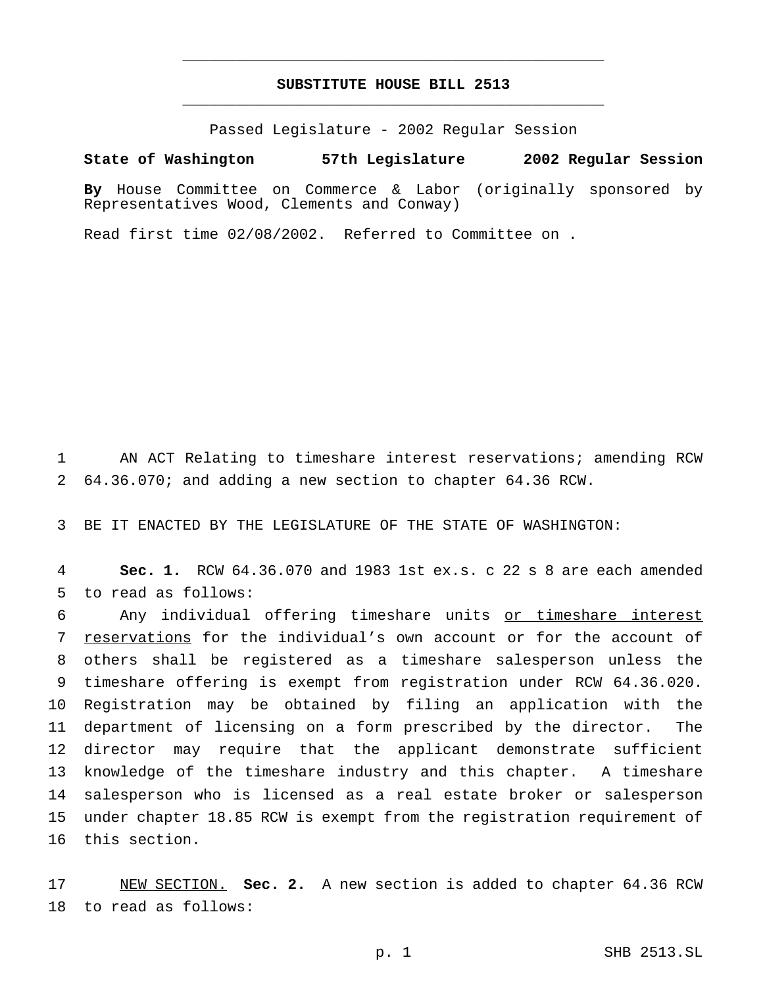## **SUBSTITUTE HOUSE BILL 2513** \_\_\_\_\_\_\_\_\_\_\_\_\_\_\_\_\_\_\_\_\_\_\_\_\_\_\_\_\_\_\_\_\_\_\_\_\_\_\_\_\_\_\_\_\_\_\_

\_\_\_\_\_\_\_\_\_\_\_\_\_\_\_\_\_\_\_\_\_\_\_\_\_\_\_\_\_\_\_\_\_\_\_\_\_\_\_\_\_\_\_\_\_\_\_

Passed Legislature - 2002 Regular Session

**State of Washington 57th Legislature 2002 Regular Session**

**By** House Committee on Commerce & Labor (originally sponsored by Representatives Wood, Clements and Conway)

Read first time 02/08/2002. Referred to Committee on .

 AN ACT Relating to timeshare interest reservations; amending RCW 64.36.070; and adding a new section to chapter 64.36 RCW.

BE IT ENACTED BY THE LEGISLATURE OF THE STATE OF WASHINGTON:

 **Sec. 1.** RCW 64.36.070 and 1983 1st ex.s. c 22 s 8 are each amended to read as follows:

 Any individual offering timeshare units or timeshare interest 7 reservations for the individual's own account or for the account of others shall be registered as a timeshare salesperson unless the timeshare offering is exempt from registration under RCW 64.36.020. Registration may be obtained by filing an application with the department of licensing on a form prescribed by the director. The director may require that the applicant demonstrate sufficient knowledge of the timeshare industry and this chapter. A timeshare salesperson who is licensed as a real estate broker or salesperson under chapter 18.85 RCW is exempt from the registration requirement of this section.

 NEW SECTION. **Sec. 2.** A new section is added to chapter 64.36 RCW to read as follows: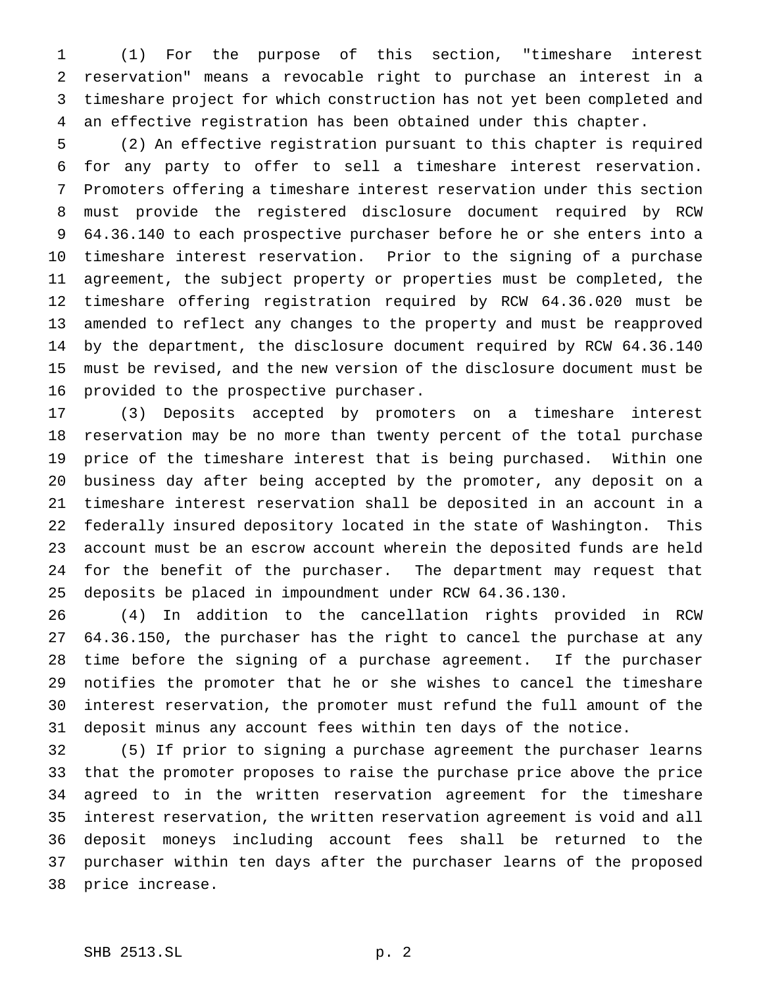(1) For the purpose of this section, "timeshare interest reservation" means a revocable right to purchase an interest in a timeshare project for which construction has not yet been completed and an effective registration has been obtained under this chapter.

 (2) An effective registration pursuant to this chapter is required for any party to offer to sell a timeshare interest reservation. Promoters offering a timeshare interest reservation under this section must provide the registered disclosure document required by RCW 64.36.140 to each prospective purchaser before he or she enters into a timeshare interest reservation. Prior to the signing of a purchase agreement, the subject property or properties must be completed, the timeshare offering registration required by RCW 64.36.020 must be amended to reflect any changes to the property and must be reapproved by the department, the disclosure document required by RCW 64.36.140 must be revised, and the new version of the disclosure document must be provided to the prospective purchaser.

 (3) Deposits accepted by promoters on a timeshare interest reservation may be no more than twenty percent of the total purchase price of the timeshare interest that is being purchased. Within one business day after being accepted by the promoter, any deposit on a timeshare interest reservation shall be deposited in an account in a federally insured depository located in the state of Washington. This account must be an escrow account wherein the deposited funds are held for the benefit of the purchaser. The department may request that deposits be placed in impoundment under RCW 64.36.130.

 (4) In addition to the cancellation rights provided in RCW 64.36.150, the purchaser has the right to cancel the purchase at any time before the signing of a purchase agreement. If the purchaser notifies the promoter that he or she wishes to cancel the timeshare interest reservation, the promoter must refund the full amount of the deposit minus any account fees within ten days of the notice.

 (5) If prior to signing a purchase agreement the purchaser learns that the promoter proposes to raise the purchase price above the price agreed to in the written reservation agreement for the timeshare interest reservation, the written reservation agreement is void and all deposit moneys including account fees shall be returned to the purchaser within ten days after the purchaser learns of the proposed price increase.